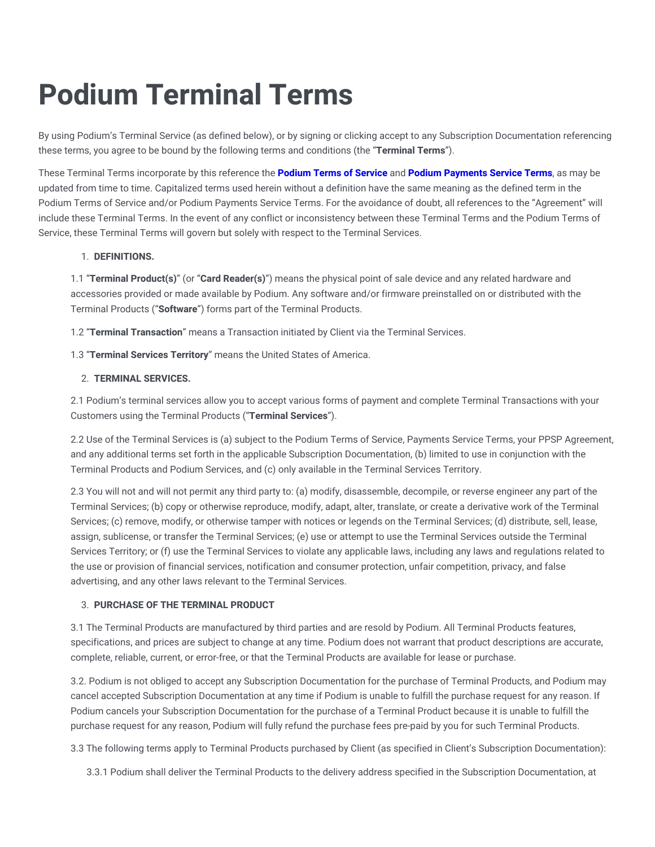# **Podium Terminal Terms**

By using Podium's Terminal Service (as defined below), or by signing or clicking accept to any Subscription Documentation referencing these terms, you agree to be bound by the following terms and conditions (the "**Terminal Terms**").

These Terminal Terms incorporate by this reference the **[Podium](https://legal.podium.com/#termsofservice-us) Terms of Service** and **Podium [Payments](https://legal.podium.com/#paymentstos-us) Service Terms**, as may be updated from time to time. Capitalized terms used herein without a definition have the same meaning as the defined term in the Podium Terms of Service and/or Podium Payments Service Terms. For the avoidance of doubt, all references to the "Agreement" will include these Terminal Terms. In the event of any conflict or inconsistency between these Terminal Terms and the Podium Terms of Service, these Terminal Terms will govern but solely with respect to the Terminal Services.

# 1. **DEFINITIONS.**

1.1 "**Terminal Product(s)**" (or "**Card Reader(s)**") means the physical point of sale device and any related hardware and accessories provided or made available by Podium. Any software and/or firmware preinstalled on or distributed with the Terminal Products ("**Software**") forms part of the Terminal Products.

1.2 "**Terminal Transaction**" means a Transaction initiated by Client via the Terminal Services.

1.3 "**Terminal Services Territory**" means the United States of America.

# 2. **TERMINAL SERVICES.**

2.1 Podium's terminal services allow you to accept various forms of payment and complete Terminal Transactions with your Customers using the Terminal Products ("**Terminal Services**").

2.2 Use of the Terminal Services is (a) subject to the Podium Terms of Service, Payments Service Terms, your PPSP Agreement, and any additional terms set forth in the applicable Subscription Documentation, (b) limited to use in conjunction with the Terminal Products and Podium Services, and (c) only available in the Terminal Services Territory.

2.3 You will not and will not permit any third party to: (a) modify, disassemble, decompile, or reverse engineer any part of the Terminal Services; (b) copy or otherwise reproduce, modify, adapt, alter, translate, or create a derivative work of the Terminal Services; (c) remove, modify, or otherwise tamper with notices or legends on the Terminal Services; (d) distribute, sell, lease, assign, sublicense, or transfer the Terminal Services; (e) use or attempt to use the Terminal Services outside the Terminal Services Territory; or (f) use the Terminal Services to violate any applicable laws, including any laws and regulations related to the use or provision of financial services, notification and consumer protection, unfair competition, privacy, and false advertising, and any other laws relevant to the Terminal Services.

# 3. **PURCHASE OF THE TERMINAL PRODUCT**

3.1 The Terminal Products are manufactured by third parties and are resold by Podium. All Terminal Products features, specifications, and prices are subject to change at any time. Podium does not warrant that product descriptions are accurate, complete, reliable, current, or error-free, or that the Terminal Products are available for lease or purchase.

3.2. Podium is not obliged to accept any Subscription Documentation for the purchase of Terminal Products, and Podium may cancel accepted Subscription Documentation at any time if Podium is unable to fulfill the purchase request for any reason. If Podium cancels your Subscription Documentation for the purchase of a Terminal Product because it is unable to fulfill the purchase request for any reason, Podium will fully refund the purchase fees pre-paid by you for such Terminal Products.

3.3 The following terms apply to Terminal Products purchased by Client (as specified in Client's Subscription Documentation):

3.3.1 Podium shall deliver the Terminal Products to the delivery address specified in the Subscription Documentation, at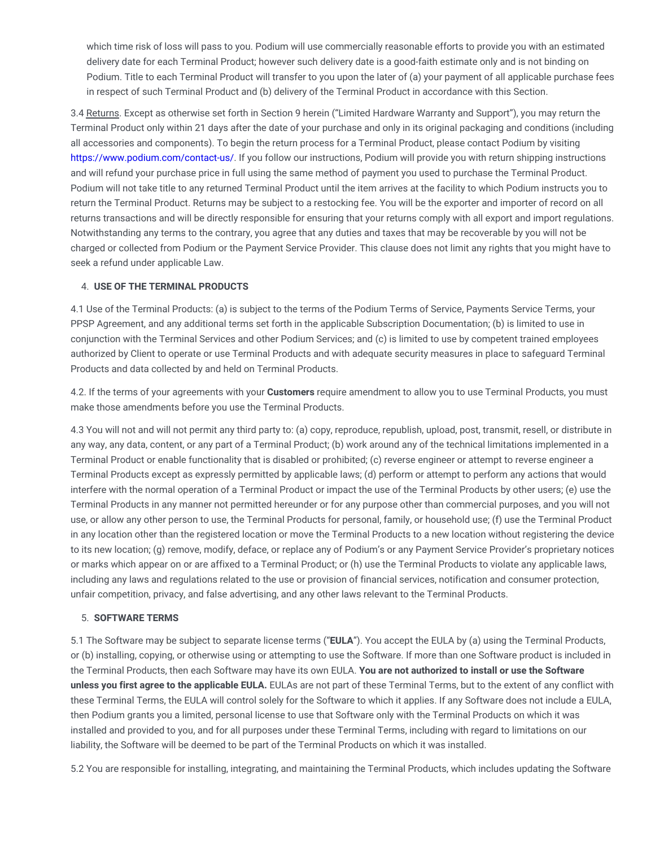which time risk of loss will pass to you. Podium will use commercially reasonable efforts to provide you with an estimated delivery date for each Terminal Product; however such delivery date is a good-faith estimate only and is not binding on Podium. Title to each Terminal Product will transfer to you upon the later of (a) your payment of all applicable purchase fees in respect of such Terminal Product and (b) delivery of the Terminal Product in accordance with this Section.

3.4 Returns. Except as otherwise set forth in Section 9 herein ("Limited Hardware Warranty and Support"), you may return the Terminal Product only within 21 days after the date of your purchase and only in its original packaging and conditions (including all accessories and components). To begin the return process for a Terminal Product, please contact Podium by visiting [https://www.podium.com/contact-us/.](https://www.podium.com/contact-us/) If you follow our instructions, Podium will provide you with return shipping instructions and will refund your purchase price in full using the same method of payment you used to purchase the Terminal Product. Podium will not take title to any returned Terminal Product until the item arrives at the facility to which Podium instructs you to return the Terminal Product. Returns may be subject to a restocking fee. You will be the exporter and importer of record on all returns transactions and will be directly responsible for ensuring that your returns comply with all export and import regulations. Notwithstanding any terms to the contrary, you agree that any duties and taxes that may be recoverable by you will not be charged or collected from Podium or the Payment Service Provider. This clause does not limit any rights that you might have to seek a refund under applicable Law.

#### 4. **USE OF THE TERMINAL PRODUCTS**

4.1 Use of the Terminal Products: (a) is subject to the terms of the Podium Terms of Service, Payments Service Terms, your PPSP Agreement, and any additional terms set forth in the applicable Subscription Documentation; (b) is limited to use in conjunction with the Terminal Services and other Podium Services; and (c) is limited to use by competent trained employees authorized by Client to operate or use Terminal Products and with adequate security measures in place to safeguard Terminal Products and data collected by and held on Terminal Products.

4.2. If the terms of your agreements with your **Customers** require amendment to allow you to use Terminal Products, you must make those amendments before you use the Terminal Products.

4.3 You will not and will not permit any third party to: (a) copy, reproduce, republish, upload, post, transmit, resell, or distribute in any way, any data, content, or any part of a Terminal Product; (b) work around any of the technical limitations implemented in a Terminal Product or enable functionality that is disabled or prohibited; (c) reverse engineer or attempt to reverse engineer a Terminal Products except as expressly permitted by applicable laws; (d) perform or attempt to perform any actions that would interfere with the normal operation of a Terminal Product or impact the use of the Terminal Products by other users; (e) use the Terminal Products in any manner not permitted hereunder or for any purpose other than commercial purposes, and you will not use, or allow any other person to use, the Terminal Products for personal, family, or household use; (f) use the Terminal Product in any location other than the registered location or move the Terminal Products to a new location without registering the device to its new location; (g) remove, modify, deface, or replace any of Podium's or any Payment Service Provider's proprietary notices or marks which appear on or are affixed to a Terminal Product; or (h) use the Terminal Products to violate any applicable laws, including any laws and regulations related to the use or provision of financial services, notification and consumer protection, unfair competition, privacy, and false advertising, and any other laws relevant to the Terminal Products.

#### 5. **SOFTWARE TERMS**

5.1 The Software may be subject to separate license terms ("**EULA**"). You accept the EULA by (a) using the Terminal Products, or (b) installing, copying, or otherwise using or attempting to use the Software. If more than one Software product is included in the Terminal Products, then each Software may have its own EULA. **You are not authorized to install or use the Software unless you first agree to the applicable EULA.** EULAs are not part of these Terminal Terms, but to the extent of any conflict with these Terminal Terms, the EULA will control solely for the Software to which it applies. If any Software does not include a EULA, then Podium grants you a limited, personal license to use that Software only with the Terminal Products on which it was installed and provided to you, and for all purposes under these Terminal Terms, including with regard to limitations on our liability, the Software will be deemed to be part of the Terminal Products on which it was installed.

5.2 You are responsible for installing, integrating, and maintaining the Terminal Products, which includes updating the Software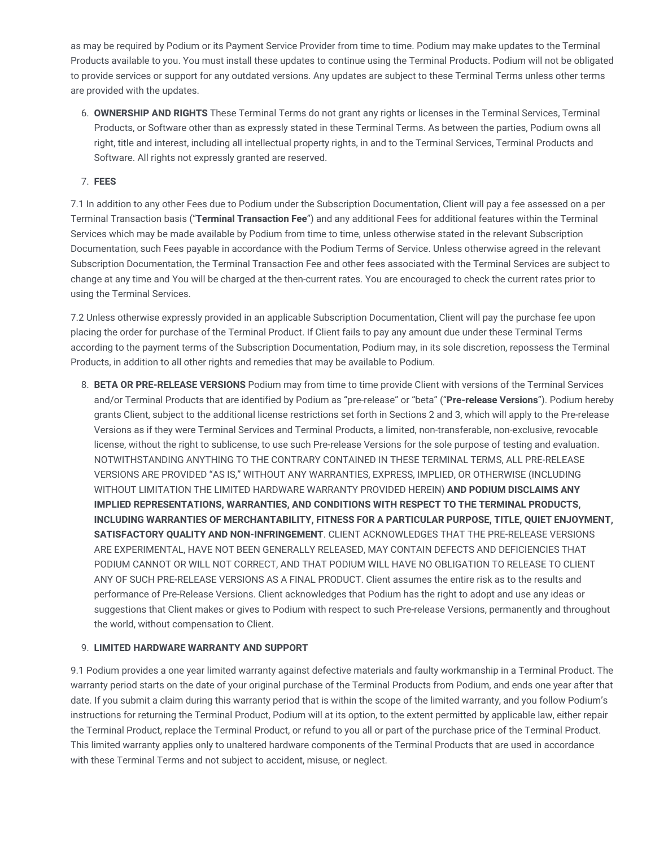as may be required by Podium or its Payment Service Provider from time to time. Podium may make updates to the Terminal Products available to you. You must install these updates to continue using the Terminal Products. Podium will not be obligated to provide services or support for any outdated versions. Any updates are subject to these Terminal Terms unless other terms are provided with the updates.

6. **OWNERSHIP AND RIGHTS** These Terminal Terms do not grant any rights or licenses in the Terminal Services, Terminal Products, or Software other than as expressly stated in these Terminal Terms. As between the parties, Podium owns all right, title and interest, including all intellectual property rights, in and to the Terminal Services, Terminal Products and Software. All rights not expressly granted are reserved.

### 7. **FEES**

7.1 In addition to any other Fees due to Podium under the Subscription Documentation, Client will pay a fee assessed on a per Terminal Transaction basis ("**Terminal Transaction Fee**") and any additional Fees for additional features within the Terminal Services which may be made available by Podium from time to time, unless otherwise stated in the relevant Subscription Documentation, such Fees payable in accordance with the Podium Terms of Service. Unless otherwise agreed in the relevant Subscription Documentation, the Terminal Transaction Fee and other fees associated with the Terminal Services are subject to change at any time and You will be charged at the then-current rates. You are encouraged to check the current rates prior to using the Terminal Services.

7.2 Unless otherwise expressly provided in an applicable Subscription Documentation, Client will pay the purchase fee upon placing the order for purchase of the Terminal Product. If Client fails to pay any amount due under these Terminal Terms according to the payment terms of the Subscription Documentation, Podium may, in its sole discretion, repossess the Terminal Products, in addition to all other rights and remedies that may be available to Podium.

8. **BETA OR PRE-RELEASE VERSIONS** Podium may from time to time provide Client with versions of the Terminal Services and/or Terminal Products that are identified by Podium as "pre-release" or "beta" ("**Pre-release Versions**"). Podium hereby grants Client, subject to the additional license restrictions set forth in Sections 2 and 3, which will apply to the Pre-release Versions as if they were Terminal Services and Terminal Products, a limited, non-transferable, non-exclusive, revocable license, without the right to sublicense, to use such Pre-release Versions for the sole purpose of testing and evaluation. NOTWITHSTANDING ANYTHING TO THE CONTRARY CONTAINED IN THESE TERMINAL TERMS, ALL PRE-RELEASE VERSIONS ARE PROVIDED "AS IS," WITHOUT ANY WARRANTIES, EXPRESS, IMPLIED, OR OTHERWISE (INCLUDING WITHOUT LIMITATION THE LIMITED HARDWARE WARRANTY PROVIDED HEREIN) **AND PODIUM DISCLAIMS ANY IMPLIED REPRESENTATIONS, WARRANTIES, AND CONDITIONS WITH RESPECT TO THE TERMINAL PRODUCTS, INCLUDING WARRANTIES OF MERCHANTABILITY, FITNESS FOR A PARTICULAR PURPOSE, TITLE, QUIET ENJOYMENT, SATISFACTORY QUALITY AND NON-INFRINGEMENT**. CLIENT ACKNOWLEDGES THAT THE PRE-RELEASE VERSIONS ARE EXPERIMENTAL, HAVE NOT BEEN GENERALLY RELEASED, MAY CONTAIN DEFECTS AND DEFICIENCIES THAT PODIUM CANNOT OR WILL NOT CORRECT, AND THAT PODIUM WILL HAVE NO OBLIGATION TO RELEASE TO CLIENT ANY OF SUCH PRE-RELEASE VERSIONS AS A FINAL PRODUCT. Client assumes the entire risk as to the results and performance of Pre-Release Versions. Client acknowledges that Podium has the right to adopt and use any ideas or suggestions that Client makes or gives to Podium with respect to such Pre-release Versions, permanently and throughout the world, without compensation to Client.

#### 9. **LIMITED HARDWARE WARRANTY AND SUPPORT**

9.1 Podium provides a one year limited warranty against defective materials and faulty workmanship in a Terminal Product. The warranty period starts on the date of your original purchase of the Terminal Products from Podium, and ends one year after that date. If you submit a claim during this warranty period that is within the scope of the limited warranty, and you follow Podium's instructions for returning the Terminal Product, Podium will at its option, to the extent permitted by applicable law, either repair the Terminal Product, replace the Terminal Product, or refund to you all or part of the purchase price of the Terminal Product. This limited warranty applies only to unaltered hardware components of the Terminal Products that are used in accordance with these Terminal Terms and not subject to accident, misuse, or neglect.